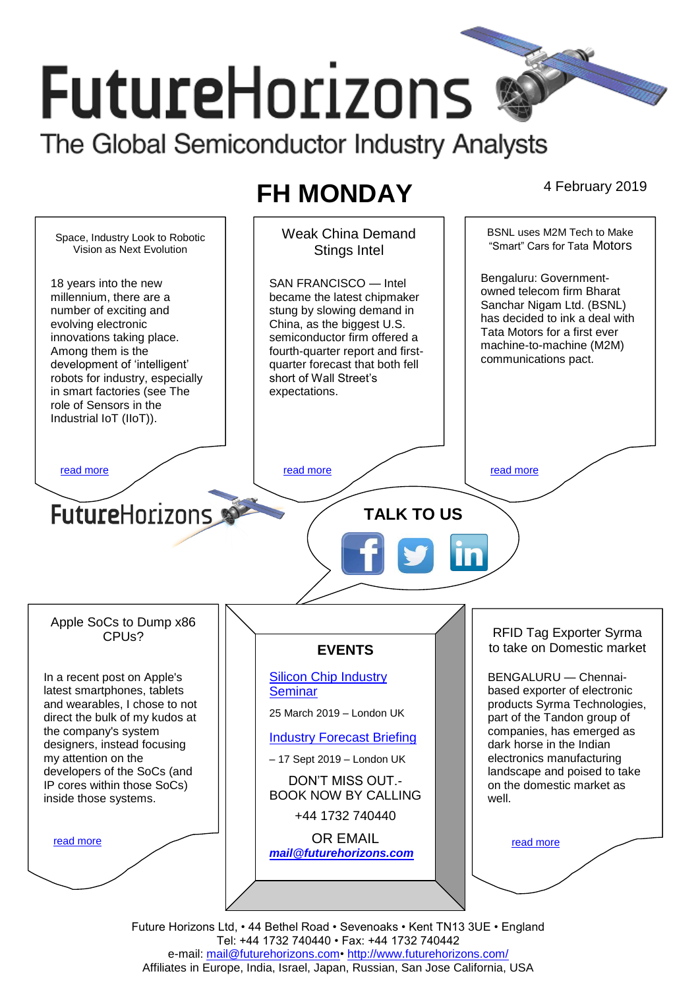# **FutureHorizons** The Global Semiconductor Industry Analysts

# **FH MONDAY** 4 February 2019

BSNL uses M2M Tech to Make Weak China Demand Space, Industry Look to Robotic "Smart" Cars for Tata Motors Vision as Next Evolution Stings Intel Bengaluru: Government-18 years into the new SAN FRANCISCO — Intel owned telecom firm Bharat millennium, there are a became the latest chipmaker Sanchar Nigam Ltd. (BSNL) number of exciting and stung by slowing demand in has decided to ink a deal with China, as the biggest U.S. evolving electronic Tata Motors for a first ever innovations taking place. semiconductor firm offered a machine-to-machine (M2M) Among them is the fourth-quarter report and firstcommunications pact. development of 'intelligent' quarter forecast that both fell robots for industry, especially short of Wall Street's in smart factories (see The expectations. role of Sensors in the Industrial IoT (IIoT)). [read more](#page-1-1) that the second contract the second contract of the read more that the read more that the read more **Future**Horizons **TALK TO US** Apple SoCs to Dump x86 RFID Tag Exporter Syrma CPUs? to take on Domestic market **EVENTS** [Silicon Chip Industry](http://www.futurehorizons.com/page/12/silicon-chip-training)  BENGALURU — Chennai-In a recent post on Apple's latest smartphones, tablets **[Seminar](http://www.futurehorizons.com/page/12/silicon-chip-training)** based exporter of electronic products Syrma Technologies, and wearables, I chose to not 25 March 2019 – London UK direct the bulk of my kudos at part of the Tandon group of the company's system companies, has emerged as [Industry Forecast Briefing](http://www.futurehorizons.com/page/13/Semiconductor-Market-Forecast-Seminar) designers, instead focusing dark horse in the Indian my attention on the electronics manufacturing – 17 Sept 2019 – London UK developers of the SoCs (and landscape and poised to take DON'T MISS OUT. on the domestic market as IP cores within those SoCs) BOOK NOW BY CALLING inside those systems.well. +44 1732 740440 OR EMAIL [read more](#page-1-3) [read more](#page-1-4) *[mail@futurehorizons.com](mailto:mail@futurehorizons.com)*

> Future Horizons Ltd, • 44 Bethel Road • Sevenoaks • Kent TN13 3UE • England Tel: +44 1732 740440 • Fax: +44 1732 740442 e-mail: mail@futurehorizons.com• http://www.futurehorizons.com/ Affiliates in Europe, India, Israel, Japan, Russian, San Jose California, USA